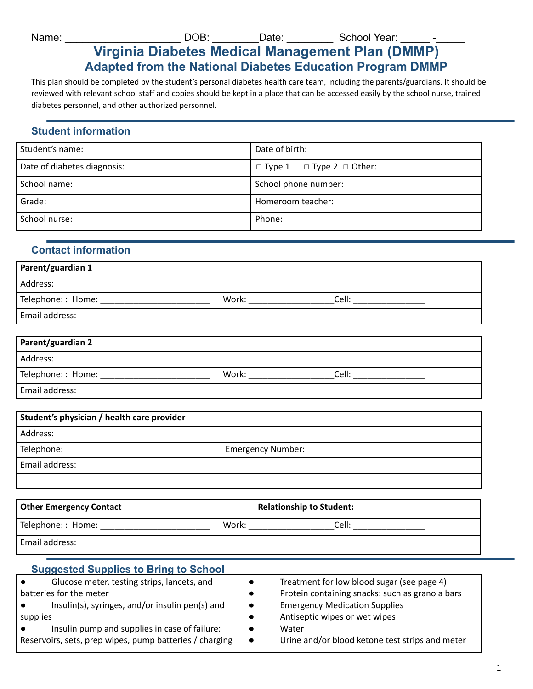Name: \_\_\_\_\_\_\_\_\_\_\_\_\_\_\_\_\_\_\_\_\_\_\_\_\_\_\_\_\_\_\_\_\_DOB: \_\_\_\_\_\_\_\_\_\_Date: \_\_\_\_\_\_\_\_\_\_\_\_\_\_\_\_\_\_\_\_ School Year: \_\_\_\_\_\_

# **Virginia Diabetes Medical Management Plan (DMMP) Adapted from the National Diabetes Education Program DMMP**

This plan should be completed by the student's personal diabetes health care team, including the parents/guardians. It should be reviewed with relevant school staff and copies should be kept in a place that can be accessed easily by the school nurse, trained diabetes personnel, and other authorized personnel.

## **Student information**

| Student's name:             | Date of birth:                            |
|-----------------------------|-------------------------------------------|
| Date of diabetes diagnosis: | $\Box$ Type 1 $\Box$ Type 2 $\Box$ Other: |
| School name:                | School phone number:                      |
| Grade:                      | Homeroom teacher:                         |
| School nurse:               | Phone:                                    |

## **Contact information**

| Parent/guardian 1  |       |       |
|--------------------|-------|-------|
| Address:           |       |       |
| Telephone: : Home: | Work: | Cell: |
| Email address:     |       |       |
|                    |       |       |
| D                  |       |       |

| Parent/guardian 2 |       |       |
|-------------------|-------|-------|
| Address:          |       |       |
| Telephone:: Home: | Work: | Cell: |
| Email address:    |       |       |

| Student's physician / health care provider |                          |
|--------------------------------------------|--------------------------|
| Address:                                   |                          |
| Telephone:                                 | <b>Emergency Number:</b> |
| Email address:                             |                          |
|                                            |                          |

| <b>Other Emergency Contact</b> |       | <b>Relationship to Student:</b> |  |
|--------------------------------|-------|---------------------------------|--|
| Telephone:: Home:              | Work: | Cell:                           |  |
| Email address:                 |       |                                 |  |

#### **Suggested Supplies to Bring to School** ● Glucose meter, testing strips, lancets, and batteries for the meter ● Insulin(s), syringes, and/or insulin pen(s) and supplies ● Insulin pump and supplies in case of failure: Reservoirs, sets, prep wipes, pump batteries / charging ● Treatment for low blood sugar (see page 4) ● Protein containing snacks: such as granola bars ● Emergency Medication Supplies ● Antiseptic wipes or wet wipes ● Water ● Urine and/or blood ketone test strips and meter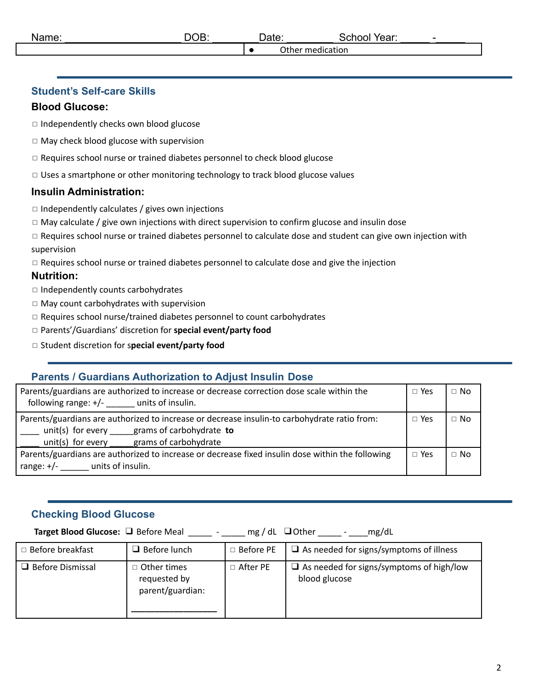### **Student's Self-care Skills**

### **Blood Glucose:**

◻ Independently checks own blood glucose

- ◻ May check blood glucose with supervision
- ◻ Requires school nurse or trained diabetes personnel to check blood glucose
- □ Uses a smartphone or other monitoring technology to track blood glucose values

## **Insulin Administration:**

- $\Box$  Independently calculates / gives own injections
- $\Box$  May calculate / give own injections with direct supervision to confirm glucose and insulin dose
- □ Requires school nurse or trained diabetes personnel to calculate dose and student can give own injection with supervision
- □ Requires school nurse or trained diabetes personnel to calculate dose and give the injection

### **Nutrition:**

- ◻ Independently counts carbohydrates
- ◻ May count carbohydrates with supervision
- ◻ Requires school nurse/trained diabetes personnel to count carbohydrates
- ◻ Parents'/Guardians' discretion for **special event/party food**
- ◻ Student discretion for s**pecial event/party food**

## **Parents / Guardians Authorization to Adjust Insulin Dose**

| Parents/guardians are authorized to increase or decrease correction dose scale within the<br>following range: $+/-$ units of insulin.                                                 | $\Box$ Yes | $\Box$ No |
|---------------------------------------------------------------------------------------------------------------------------------------------------------------------------------------|------------|-----------|
| Parents/guardians are authorized to increase or decrease insulin-to carbohydrate ratio from:<br>unit(s) for every grams of carbohydrate to<br>unit(s) for every grams of carbohydrate | $\Box$ Yes | $\Box$ No |
| Parents/guardians are authorized to increase or decrease fixed insulin dose within the following<br>range: $+/-$ units of insulin.                                                    | $\Box$ Yes | $\Box$ No |

## **Checking Blood Glucose**

**Target Blood Glucose:** ❑ Before Meal \_\_\_\_\_ - \_\_\_\_\_ mg / dL ❑Other \_\_\_\_\_ - \_\_\_\_mg/dL

| $\Box$ Before breakfast | $\Box$ Before lunch                               | $\Box$ Before PE | $\Box$ As needed for signs/symptoms of illness                   |
|-------------------------|---------------------------------------------------|------------------|------------------------------------------------------------------|
| $\Box$ Before Dismissal | □ Other times<br>requested by<br>parent/guardian: | $\Box$ After PE  | $\Box$ As needed for signs/symptoms of high/low<br>blood glucose |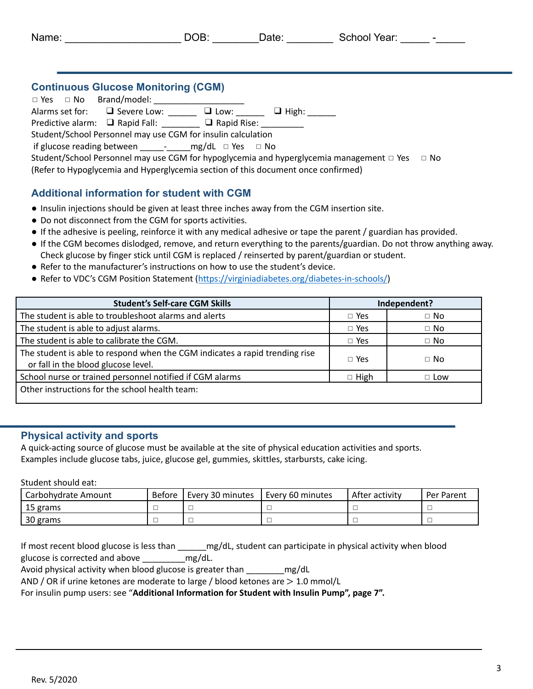| Name: | .10F<br>י שנ | Jate: | School Year: |  |
|-------|--------------|-------|--------------|--|
|       |              |       | ___          |  |

## **Continuous Glucose Monitoring (CGM)**

 $\square$  Yes  $\square$  No Brand/model: Alarms set for:  $\Box$  Severe Low:  $\Box$  Low:  $\Box$  High: Predictive alarm: ■ Rapid Fall: ■ Rapid Rise: △ Rapid Rise: Student/School Personnel may use CGM for insulin calculation if glucose reading between \_\_\_\_\_-\_\_\_\_\_mg/dL ◻ Yes ◻ No Student/School Personnel may use CGM for hypoglycemia and hyperglycemia management □ Yes □ No (Refer to Hypoglycemia and Hyperglycemia section of this document once confirmed)

## **Additional information for student with CGM**

- Insulin injections should be given at least three inches away from the CGM insertion site.
- Do not disconnect from the CGM for sports activities.
- If the adhesive is peeling, reinforce it with any medical adhesive or tape the parent / guardian has provided.
- If the CGM becomes dislodged, remove, and return everything to the parents/guardian. Do not throw anything away. Check glucose by finger stick until CGM is replaced / reinserted by parent/guardian or student.
- Refer to the manufacturer's instructions on how to use the student's device.
- Refer to VDC's CGM Position Statement (<https://virginiadiabetes.org/diabetes-in-schools/>)

| <b>Student's Self-care CGM Skills</b><br>Independent?                                                              |             |            |
|--------------------------------------------------------------------------------------------------------------------|-------------|------------|
| The student is able to troubleshoot alarms and alerts                                                              | $\Box$ Yes  | $\Box$ No  |
| The student is able to adjust alarms.                                                                              | $\Box$ Yes  | $\Box$ No  |
| The student is able to calibrate the CGM.                                                                          | $\Box$ Yes  | $\Box$ No  |
| The student is able to respond when the CGM indicates a rapid trending rise<br>or fall in the blood glucose level. | $\Box$ Yes  | $\Box$ No  |
| School nurse or trained personnel notified if CGM alarms                                                           | $\Box$ High | $\Box$ Low |
| Other instructions for the school health team:                                                                     |             |            |

### **Physical activity and sports**

A quick-acting source of glucose must be available at the site of physical education activities and sports. Examples include glucose tabs, juice, glucose gel, gummies, skittles, starbursts, cake icing.

Student should eat:

| Carbohvdrate Amount | Before | Every 30 minutes | Every 60 minutes | After activity | Per Parent |
|---------------------|--------|------------------|------------------|----------------|------------|
| 15 grams            |        |                  |                  |                |            |
| 30 grams            |        |                  |                  |                |            |

If most recent blood glucose is less than \_\_\_\_\_\_mg/dL, student can participate in physical activity when blood glucose is corrected and above \_\_\_\_\_\_\_\_\_mg/dL.

Avoid physical activity when blood glucose is greater than \_\_\_\_\_\_\_\_mg/dL

AND / OR if urine ketones are moderate to large / blood ketones are > 1.0 mmol/L

For insulin pump users: see "**Additional Information for Student with Insulin Pump", page 7".**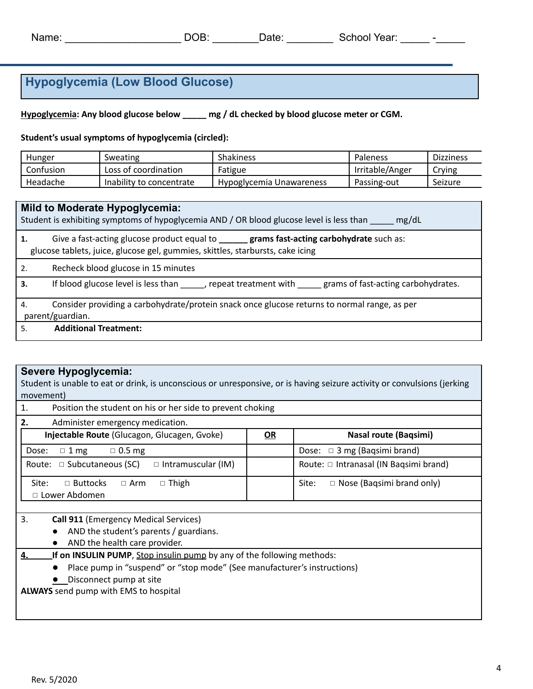# **Hypoglycemia (Low Blood Glucose)**

**Hypoglycemia: Any blood glucose below \_\_\_\_\_ mg / dL checked by blood glucose meter or CGM.**

**Student's usual symptoms of hypoglycemia (circled):**

| Hunger    | Sweating                 | Shakiness                | <b>Paleness</b> | <b>Dizziness</b> |
|-----------|--------------------------|--------------------------|-----------------|------------------|
| Confusion | Loss of coordination     | Fatigue                  | Irritable/Anger | Crying           |
| Headache  | Inability to concentrate | Hypoglycemia Unawareness | Passing-out     | Seizure          |

|     | Mild to Moderate Hypoglycemia:<br>Student is exhibiting symptoms of hypoglycemia AND / OR blood glucose level is less than<br>mg/dL                                           |
|-----|-------------------------------------------------------------------------------------------------------------------------------------------------------------------------------|
|     | Give a fast-acting glucose product equal to _______ grams fast-acting carbohydrate such as:<br>glucose tablets, juice, glucose gel, gummies, skittles, starbursts, cake icing |
| 2.  | Recheck blood glucose in 15 minutes                                                                                                                                           |
| 3.  | If blood glucose level is less than ______, repeat treatment with ______ grams of fast-acting carbohydrates.                                                                  |
| 4.  | Consider providing a carbohydrate/protein snack once glucose returns to normal range, as per                                                                                  |
|     | parent/guardian.                                                                                                                                                              |
| .5. | <b>Additional Treatment:</b>                                                                                                                                                  |

### **Severe Hypoglycemia:**

Student is unable to eat or drink, is unconscious or unresponsive, or is having seizure activity or convulsions (jerking movement)

| 1.<br>Position the student on his or her side to prevent choking                     |    |                                           |  |  |  |
|--------------------------------------------------------------------------------------|----|-------------------------------------------|--|--|--|
| 2.<br>Administer emergency medication.                                               |    |                                           |  |  |  |
| Injectable Route (Glucagon, Glucagen, Gvoke)                                         | OR | <b>Nasal route (Bagsimi)</b>              |  |  |  |
| $\Box$ 0.5 mg<br>$\Box$ 1 mg<br>Dose:                                                |    | Dose: $\Box$ 3 mg (Baqsimi brand)         |  |  |  |
| Route: $\Box$ Subcutaneous (SC)<br>$\Box$ Intramuscular (IM)                         |    | Route: □ Intranasal (IN Bagsimi brand)    |  |  |  |
| Site:<br>$\Box$ Buttocks<br>$\Box$ Arm<br>$\Box$ Thigh<br>□ Lower Abdomen            |    | $\Box$ Nose (Bagsimi brand only)<br>Site: |  |  |  |
|                                                                                      |    |                                           |  |  |  |
| 3.<br><b>Call 911 (Emergency Medical Services)</b>                                   |    |                                           |  |  |  |
| AND the student's parents / guardians.<br>$\bullet$                                  |    |                                           |  |  |  |
| AND the health care provider.<br>$\bullet$                                           |    |                                           |  |  |  |
| <b>If on INSULIN PUMP</b> , Stop insulin pump by any of the following methods:<br>4. |    |                                           |  |  |  |
| Place pump in "suspend" or "stop mode" (See manufacturer's instructions)             |    |                                           |  |  |  |
| Disconnect pump at site                                                              |    |                                           |  |  |  |

**ALWAYS** send pump with EMS to hospital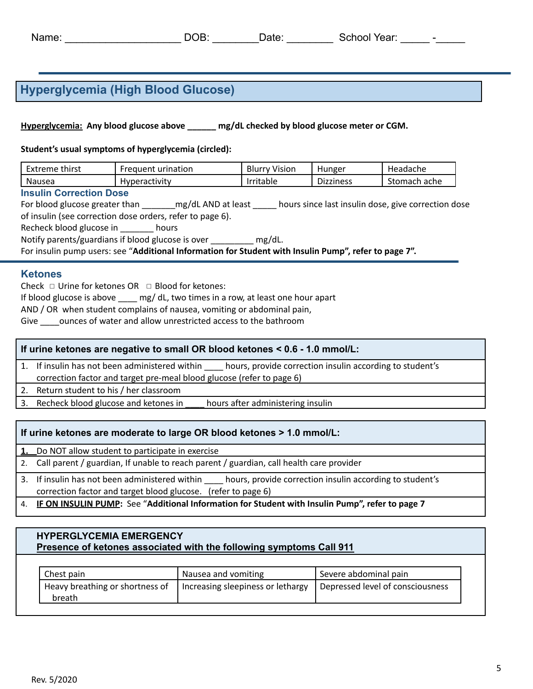| Name: | $\sim$ $\sim$<br>ਮ | Jate | Year:<br>School<br>. |  |
|-------|--------------------|------|----------------------|--|
|       |                    |      |                      |  |

## **Hyperglycemia (High Blood Glucose)**

**Hyperglycemia: Any blood glucose above \_\_\_\_\_\_ mg/dL checked by blood glucose meter or CGM.**

**Student's usual symptoms of hyperglycemia (circled):**

| Extreme thirst | Frequent urination   | <b>Blurry Vision</b> | Hunger           | Headache     |
|----------------|----------------------|----------------------|------------------|--------------|
| Nausea         | <b>Hyperactivity</b> | Irritable            | - -<br>Dizziness | Stomach ache |

#### **Insulin Correction Dose**

For blood glucose greater than \_\_\_\_\_\_\_mg/dL AND at least \_\_\_\_\_ hours since last insulin dose, give correction dose of insulin (see correction dose orders, refer to page 6).

Recheck blood glucose in \_\_\_\_\_\_\_ hours

Notify parents/guardians if blood glucose is over \_\_\_\_\_\_\_\_ mg/dL.

For insulin pump users: see "**Additional Information for Student with Insulin Pump", refer to page 7".**

### **Ketones**

Check  $\Box$  Urine for ketones OR  $\Box$  Blood for ketones:

If blood glucose is above mg/ dL, two times in a row, at least one hour apart

AND / OR when student complains of nausea, vomiting or abdominal pain,

Give counces of water and allow unrestricted access to the bathroom

### **If urine ketones are negative to small OR blood ketones < 0.6 - 1.0 mmol/L:**

1. If insulin has not been administered within \_\_\_\_ hours, provide correction insulin according to student's correction factor and target pre-meal blood glucose (refer to page 6)

2. Return student to his / her classroom

3. Recheck blood glucose and ketones in hours after administering insulin

### **If urine ketones are moderate to large OR blood ketones > 1.0 mmol/L:**

**1.** Do NOT allow student to participate in exercise

- 2. Call parent / guardian, If unable to reach parent / guardian, call health care provider
- 3. If insulin has not been administered within hours, provide correction insulin according to student's correction factor and target blood glucose. (refer to page 6)
- 4. **IF ON INSULIN PUMP:** See "**Additional Information for Student with Insulin Pump", refer to page 7**

### **HYPERGLYCEMIA EMERGENCY Presence of ketones associated with the following symptoms Call 911**

| Nausea and vomiting               | Severe abdominal pain            |
|-----------------------------------|----------------------------------|
| Increasing sleepiness or lethargy | Depressed level of consciousness |
|                                   |                                  |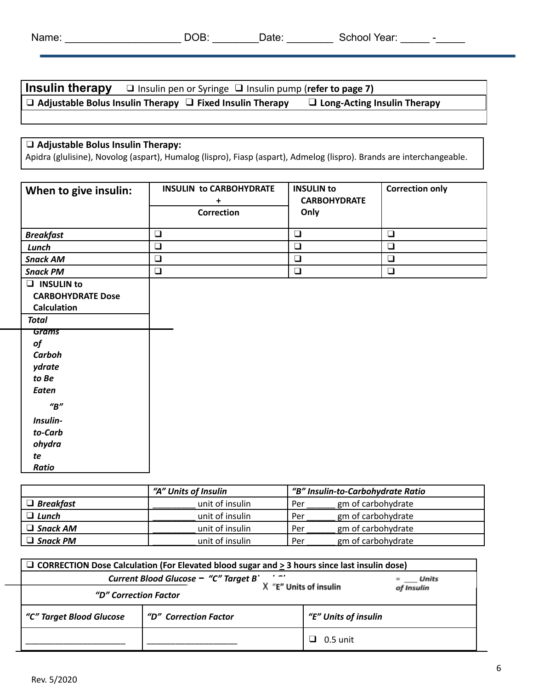| Name: | <b>OB</b> | Date | School Year: | - |
|-------|-----------|------|--------------|---|
|       |           |      |              |   |

| <b>Insulin therapy</b> $\Box$ Insulin pen or Syringe $\Box$ Insulin pump (refer to page 7) |                                    |
|--------------------------------------------------------------------------------------------|------------------------------------|
| $\Box$ Adjustable Bolus Insulin Therapy $\Box$ Fixed Insulin Therapy                       | $\Box$ Long-Acting Insulin Therapy |

## ❑ **Adjustable Bolus Insulin Therapy:**

Apidra (glulisine), Novolog (aspart), Humalog (lispro), Fiasp (aspart), Admelog (lispro). Brands are interchangeable.

| When to give insulin:                                                                                                                         | <b>INSULIN to CARBOHYDRATE</b><br>+<br>Correction | <b>INSULIN to</b><br><b>CARBOHYDRATE</b><br>Only | <b>Correction only</b> |
|-----------------------------------------------------------------------------------------------------------------------------------------------|---------------------------------------------------|--------------------------------------------------|------------------------|
| <b>Breakfast</b>                                                                                                                              | $\Box$                                            | $\Box$                                           | $\Box$                 |
| Lunch                                                                                                                                         | $\Box$                                            | $\Box$                                           | $\Box$                 |
| <b>Snack AM</b>                                                                                                                               | $\Box$                                            | $\Box$                                           | $\Box$                 |
| <b>Snack PM</b>                                                                                                                               | $\Box$                                            | $\Box$                                           | $\Box$                 |
| $\Box$ INSULIN to<br><b>CARBOHYDRATE Dose</b><br><b>Calculation</b><br><b>Total</b>                                                           |                                                   |                                                  |                        |
| Grams<br>of<br>Carboh<br>ydrate<br>to Be<br><b>Eaten</b><br>$^{\prime\prime}B^{\prime\prime}$<br>Insulin-<br>to-Carb<br>ohydra<br>te<br>Ratio |                                                   |                                                  |                        |

|                  | "A" Units of Insulin<br>"B" Insulin-to-Carbohydrate Ratio |     |                    |
|------------------|-----------------------------------------------------------|-----|--------------------|
| $\Box$ Breakfast | unit of insulin                                           | Per | gm of carbohydrate |
| $\Box$ Lunch     | unit of insulin                                           | Per | gm of carbohydrate |
| $\Box$ Snack AM  | unit of insulin                                           | Per | gm of carbohydrate |
| $\Box$ Snack PM  | unit of insulin                                           | Per | gm of carbohydrate |

| □ CORRECTION Dose Calculation (For Elevated blood sugar and $\geq$ 3 hours since last insulin dose) |                                               |                            |  |  |  |
|-----------------------------------------------------------------------------------------------------|-----------------------------------------------|----------------------------|--|--|--|
| $\mathbf{r}$<br>Current Blood Glucose - "C" Target B'<br>Units                                      |                                               |                            |  |  |  |
| "E" Units of insulin<br>of Insulin<br>"D" Correction Factor                                         |                                               |                            |  |  |  |
| "C" Target Blood Glucose                                                                            | "E" Units of insulin<br>"D" Correction Factor |                            |  |  |  |
|                                                                                                     |                                               | 0.5 unit<br>$\blacksquare$ |  |  |  |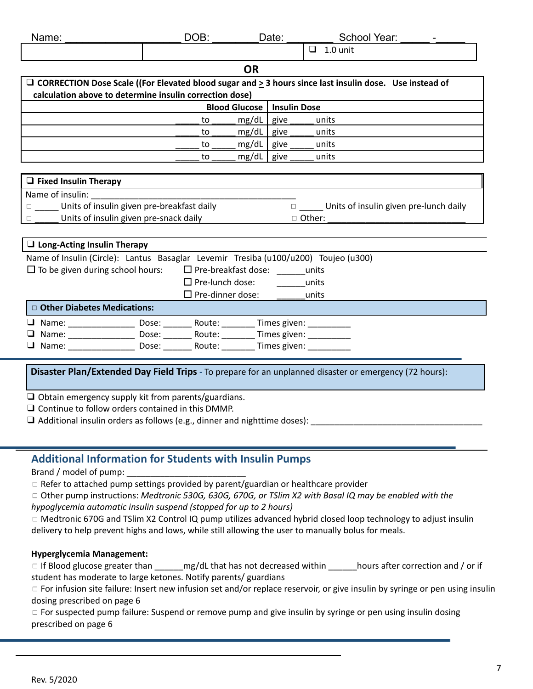| Name:                                                                                  | DOB:                                 |                | Date:                                                                                                         | School Year:                                                                                                       |  |  |
|----------------------------------------------------------------------------------------|--------------------------------------|----------------|---------------------------------------------------------------------------------------------------------------|--------------------------------------------------------------------------------------------------------------------|--|--|
|                                                                                        |                                      |                |                                                                                                               | $\Box$ 1.0 unit                                                                                                    |  |  |
| <b>OR</b>                                                                              |                                      |                |                                                                                                               |                                                                                                                    |  |  |
|                                                                                        |                                      |                |                                                                                                               | $\Box$ CORRECTION Dose Scale ((For Elevated blood sugar and $\geq$ 3 hours since last insulin dose. Use instead of |  |  |
| calculation above to determine insulin correction dose)                                |                                      |                |                                                                                                               |                                                                                                                    |  |  |
|                                                                                        | Insulin Dose<br><b>Blood Glucose</b> |                |                                                                                                               |                                                                                                                    |  |  |
|                                                                                        | to                                   | mg/dL          | give                                                                                                          | units                                                                                                              |  |  |
|                                                                                        | to                                   | $mg/dL$   give |                                                                                                               | units                                                                                                              |  |  |
|                                                                                        | to                                   | $mg/dL$   give |                                                                                                               | units                                                                                                              |  |  |
|                                                                                        | to                                   | mg/dL          | give                                                                                                          | units                                                                                                              |  |  |
|                                                                                        |                                      |                |                                                                                                               |                                                                                                                    |  |  |
| $\Box$ Fixed Insulin Therapy                                                           |                                      |                |                                                                                                               |                                                                                                                    |  |  |
| Name of insulin:                                                                       |                                      |                |                                                                                                               |                                                                                                                    |  |  |
| Units of insulin given pre-breakfast daily                                             |                                      |                |                                                                                                               | □ ______ Units of insulin given pre-lunch daily                                                                    |  |  |
| Units of insulin given pre-snack daily                                                 |                                      |                |                                                                                                               | □ Other:                                                                                                           |  |  |
|                                                                                        |                                      |                |                                                                                                               |                                                                                                                    |  |  |
| $\Box$ Long-Acting Insulin Therapy                                                     |                                      |                |                                                                                                               |                                                                                                                    |  |  |
| Name of Insulin (Circle): Lantus Basaglar Levemir Tresiba (u100/u200) Toujeo (u300)    |                                      |                |                                                                                                               |                                                                                                                    |  |  |
| $\Box$ To be given during school hours:                                                | $\Box$ Pre-breakfast dose: units     |                |                                                                                                               |                                                                                                                    |  |  |
|                                                                                        | $\Box$ Pre-lunch dose:               |                | distribution in the units of the set of the set of the set of the set of the set of the set of the set of the |                                                                                                                    |  |  |
|                                                                                        | $\Box$ Pre-dinner dose:              |                |                                                                                                               | units                                                                                                              |  |  |
| □ Other Diabetes Medications:                                                          |                                      |                |                                                                                                               |                                                                                                                    |  |  |
| □ Name: ____________________ Dose: _________ Route: __________ Times given: __________ |                                      |                |                                                                                                               |                                                                                                                    |  |  |
|                                                                                        |                                      |                |                                                                                                               |                                                                                                                    |  |  |
| □ Name: ____________________ Dose: ________ Route: _________ Times given: ___________  |                                      |                |                                                                                                               |                                                                                                                    |  |  |
|                                                                                        |                                      |                |                                                                                                               |                                                                                                                    |  |  |
|                                                                                        |                                      |                |                                                                                                               | Disaster Plan/Extended Day Field Trips - To prepare for an unplanned disaster or emergency (72 hours):             |  |  |
|                                                                                        |                                      |                |                                                                                                               |                                                                                                                    |  |  |

❑ Obtain emergency supply kit from parents/guardians.

❑ Continue to follow orders contained in this DMMP.

 $\square$  Additional insulin orders as follows (e.g., dinner and nighttime doses):

## **Additional Information for Students with Insulin Pumps**

Brand / model of pump:

 $\Box$  Refer to attached pump settings provided by parent/guardian or healthcare provider

◻ Other pump instructions: *Medtronic 530G, 630G, 670G, or TSlim X2 with Basal IQ may be enabled with the hypoglycemia automatic insulin suspend (stopped for up to 2 hours)*

◻ Medtronic 670G and TSlim X2 Control IQ pump utilizes advanced hybrid closed loop technology to adjust insulin delivery to help prevent highs and lows, while still allowing the user to manually bolus for meals.

### **Hyperglycemia Management:**

◻ If Blood glucose greater than \_\_\_\_\_\_mg/dL that has not decreased within \_\_\_\_\_\_hours after correction and / or if student has moderate to large ketones. Notify parents/ guardians

□ For infusion site failure: Insert new infusion set and/or replace reservoir, or give insulin by syringe or pen using insulin dosing prescribed on page 6

□ For suspected pump failure: Suspend or remove pump and give insulin by syringe or pen using insulin dosing prescribed on page 6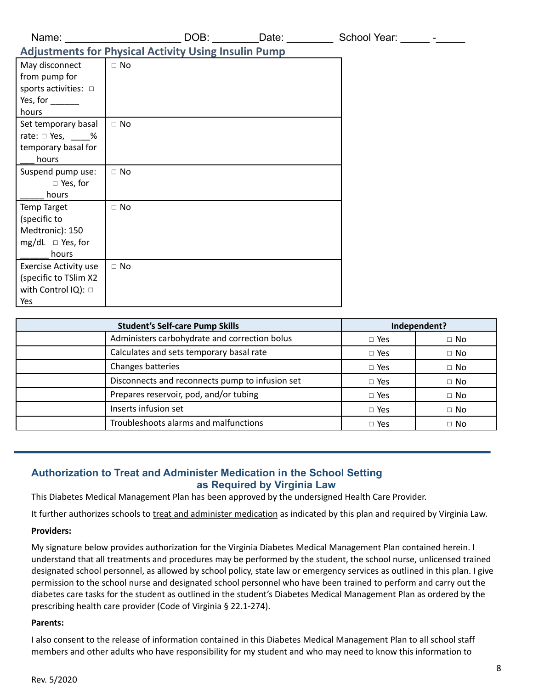| Name:                                                                                                     |                                                             | DOB: ___________Date: _________ | School Year: _______ -_____ |  |
|-----------------------------------------------------------------------------------------------------------|-------------------------------------------------------------|---------------------------------|-----------------------------|--|
|                                                                                                           | <b>Adjustments for Physical Activity Using Insulin Pump</b> |                                 |                             |  |
| May disconnect<br>from pump for<br>sports activities: $\Box$<br>Yes, for $\_\_\_\_\_\_\_\_\_\_\$<br>hours | $\Box$ No                                                   |                                 |                             |  |
| Set temporary basal<br>rate: $\Box$ Yes, $\qquad\%$<br>temporary basal for<br>hours                       | $\Box$ No                                                   |                                 |                             |  |
| Suspend pump use:<br>$\Box$ Yes, for<br>hours                                                             | $\Box$ No                                                   |                                 |                             |  |
| <b>Temp Target</b><br>(specific to<br>Medtronic): 150<br>mg/dL $\Box$ Yes, for<br>hours                   | $\Box$ No                                                   |                                 |                             |  |
| <b>Exercise Activity use</b><br>(specific to TSlim X2<br>with Control IQ): □<br>Yes                       | $\Box$ No                                                   |                                 |                             |  |
|                                                                                                           | <b>Student's Self-care Pump Skills</b>                      |                                 | Independent?                |  |

| <b>Student's Self-care Pump Skills</b> |                                                 |            | Independent? |
|----------------------------------------|-------------------------------------------------|------------|--------------|
|                                        | Administers carbohydrate and correction bolus   | $\Box$ Yes | $\Box$ No    |
|                                        | Calculates and sets temporary basal rate        | $\Box$ Yes | $\Box$ No    |
|                                        | Changes batteries                               | $\Box$ Yes | $\Box$ No    |
|                                        | Disconnects and reconnects pump to infusion set | $\Box$ Yes | $\Box$ No    |
|                                        | Prepares reservoir, pod, and/or tubing          | $\Box$ Yes | $\Box$ No    |
|                                        | Inserts infusion set                            | $\Box$ Yes | $\Box$ No    |
|                                        | Troubleshoots alarms and malfunctions           | $\Box$ Yes | $\Box$ No    |

## **Authorization to Treat and Administer Medication in the School Setting as Required by Virginia Law**

This Diabetes Medical Management Plan has been approved by the undersigned Health Care Provider.

It further authorizes schools to treat and administer medication as indicated by this plan and required by Virginia Law.

### **Providers:**

My signature below provides authorization for the Virginia Diabetes Medical Management Plan contained herein. I understand that all treatments and procedures may be performed by the student, the school nurse, unlicensed trained designated school personnel, as allowed by school policy, state law or emergency services as outlined in this plan. I give permission to the school nurse and designated school personnel who have been trained to perform and carry out the diabetes care tasks for the student as outlined in the student's Diabetes Medical Management Plan as ordered by the prescribing health care provider (Code of Virginia § 22.1-274).

### **Parents:**

I also consent to the release of information contained in this Diabetes Medical Management Plan to all school staff members and other adults who have responsibility for my student and who may need to know this information to